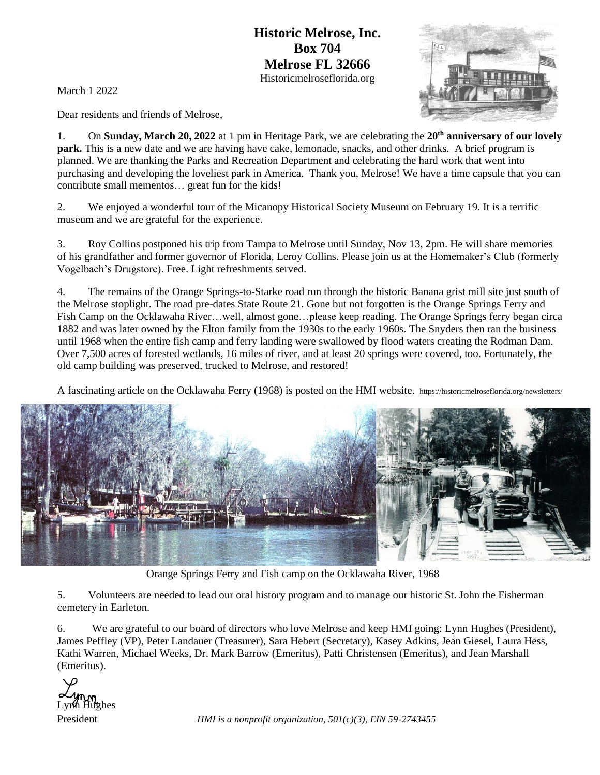**Historic Melrose, Inc. Box 704 Melrose FL 32666** Historicmelroseflorida.org

March 1 2022

Dear residents and friends of Melrose,

1. On **Sunday, March 20, 2022** at 1 pm in Heritage Park, we are celebrating the **20th anniversary of our lovely park.** This is a new date and we are having have cake, lemonade, snacks, and other drinks. A brief program is planned. We are thanking the Parks and Recreation Department and celebrating the hard work that went into purchasing and developing the loveliest park in America. Thank you, Melrose! We have a time capsule that you can contribute small mementos… great fun for the kids!

2. We enjoyed a wonderful tour of the Micanopy Historical Society Museum on February 19. It is a terrific museum and we are grateful for the experience.

3. Roy Collins postponed his trip from Tampa to Melrose until Sunday, Nov 13, 2pm. He will share memories of his grandfather and former governor of Florida, Leroy Collins. Please join us at the Homemaker's Club (formerly Vogelbach's Drugstore). Free. Light refreshments served.

4. The remains of the Orange Springs-to-Starke road run through the historic Banana grist mill site just south of the Melrose stoplight. The road pre-dates State Route 21. Gone but not forgotten is the Orange Springs Ferry and Fish Camp on the Ocklawaha River…well, almost gone…please keep reading. The Orange Springs ferry began circa 1882 and was later owned by the Elton family from the 1930s to the early 1960s. The Snyders then ran the business until 1968 when the entire fish camp and ferry landing were swallowed by flood waters creating the Rodman Dam. Over 7,500 acres of forested wetlands, 16 miles of river, and at least 20 springs were covered, too. Fortunately, the old camp building was preserved, trucked to Melrose, and restored!

A fascinating article on the Ocklawaha Ferry (1968) is posted on the HMI website. https://historicmelroseflorida.org/newsletters/



Orange Springs Ferry and Fish camp on the Ocklawaha River, 1968

5. Volunteers are needed to lead our oral history program and to manage our historic St. John the Fisherman cemetery in Earleton.

6. We are grateful to our board of directors who love Melrose and keep HMI going: Lynn Hughes (President), James Peffley (VP), Peter Landauer (Treasurer), Sara Hebert (Secretary), Kasey Adkins, Jean Giesel, Laura Hess, Kathi Warren, Michael Weeks, Dr. Mark Barrow (Emeritus), Patti Christensen (Emeritus), and Jean Marshall (Emeritus).



President *HMI is a nonprofit organization, 501(c)(3), EIN 59-2743455*